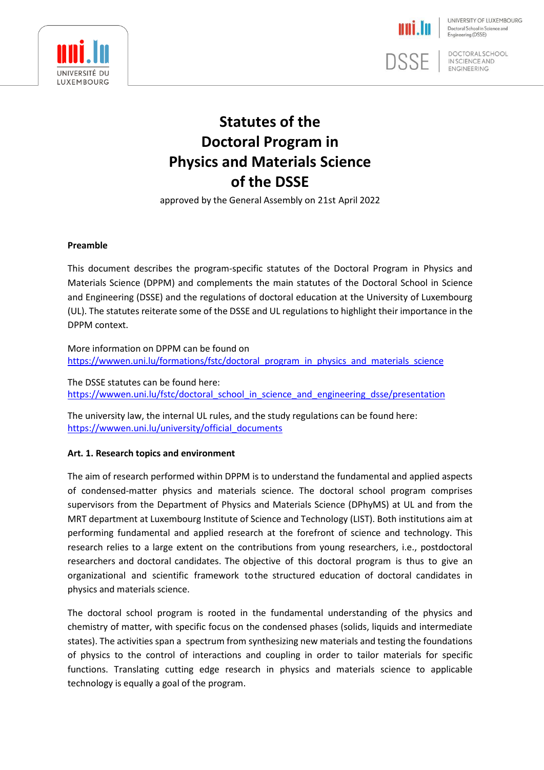

**DSSE** 

UNIVERSITY OF LUXEMBOURG Doctoral School in Science and Engineering (DSSE)

**DOCTORALSCHOOL** IN SCIENCE AND **ENGINEERING** 

# **Statutes of the Doctoral Program in Physics and Materials Science of the DSSE**

approved by the General Assembly on 21st April 2022

## **Preamble**

This document describes the program-specific statutes of the Doctoral Program in Physics and Materials Science (DPPM) and complements the main statutes of the Doctoral School in Science and Engineering (DSSE) and the regulations of doctoral education at the University of Luxembourg (UL). The statutes reiterate some of the DSSE and UL regulations to highlight their importance in the DPPM context.

More information on DPPM can be found on [https://wwwen.uni.lu/formations/fstc/doctoral\\_program\\_in\\_physics\\_and\\_materials\\_science](https://wwwen.uni.lu/formations/fstc/doctoral_programme_in_physics_and_materials_science)

The DSSE statutes can be found here: [https://wwwen.uni.lu/fstc/doctoral\\_school\\_in\\_science\\_and\\_engineering\\_dsse/presentation](https://wwwen.uni.lu/fstc/doctoral_school_in_science_and_engineering_dsse/presentation)

The university law, the internal UL rules, and the study regulations can be found here: [https://wwwen.uni.lu/university/official\\_documents](https://wwwen.uni.lu/university/official_documents)

# **Art. 1. Research topics and environment**

The aim of research performed within DPPM is to understand the fundamental and applied aspects of condensed-matter physics and materials science. The doctoral school program comprises supervisors from the Department of Physics and Materials Science (DPhyMS) at UL and from the MRT department at Luxembourg Institute of Science and Technology (LIST). Both institutions aim at performing fundamental and applied research at the forefront of science and technology. This research relies to a large extent on the contributions from young researchers, i.e., postdoctoral researchers and doctoral candidates. The objective of this doctoral program is thus to give an organizational and scientific framework tothe structured education of doctoral candidates in physics and materials science.

The doctoral school program is rooted in the fundamental understanding of the physics and chemistry of matter, with specific focus on the condensed phases (solids, liquids and intermediate states). The activities span a spectrum from synthesizing new materials and testing the foundations of physics to the control of interactions and coupling in order to tailor materials for specific functions. Translating cutting edge research in physics and materials science to applicable technology is equally a goal of the program.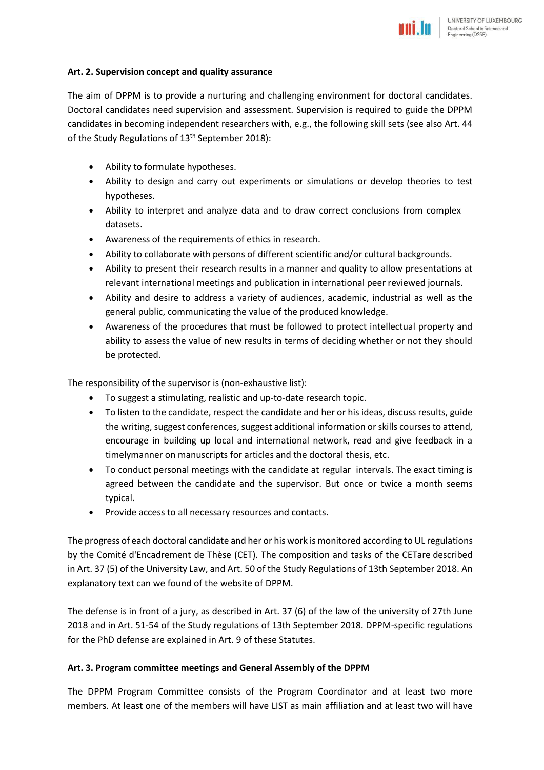## **Art. 2. Supervision concept and quality assurance**

The aim of DPPM is to provide a nurturing and challenging environment for doctoral candidates. Doctoral candidates need supervision and assessment. Supervision is required to guide the DPPM candidates in becoming independent researchers with, e.g., the following skill sets (see also Art. 44 of the Study Regulations of 13<sup>th</sup> September 2018):

- Ability to formulate hypotheses.
- Ability to design and carry out experiments or simulations or develop theories to test hypotheses.
- Ability to interpret and analyze data and to draw correct conclusions from complex datasets.
- Awareness of the requirements of ethics in research.
- Ability to collaborate with persons of different scientific and/or cultural backgrounds.
- Ability to present their research results in a manner and quality to allow presentations at relevant international meetings and publication in international peer reviewed journals.
- Ability and desire to address a variety of audiences, academic, industrial as well as the general public, communicating the value of the produced knowledge.
- Awareness of the procedures that must be followed to protect intellectual property and ability to assess the value of new results in terms of deciding whether or not they should be protected.

The responsibility of the supervisor is (non-exhaustive list):

- To suggest a stimulating, realistic and up-to-date research topic.
- To listen to the candidate, respect the candidate and her or his ideas, discuss results, guide the writing, suggest conferences, suggest additional information or skills courses to attend, encourage in building up local and international network, read and give feedback in a timelymanner on manuscripts for articles and the doctoral thesis, etc.
- To conduct personal meetings with the candidate at regular intervals. The exact timing is agreed between the candidate and the supervisor. But once or twice a month seems typical.
- Provide access to all necessary resources and contacts.

The progress of each doctoral candidate and her or his work is monitored according to UL regulations by the Comité d'Encadrement de Thèse (CET). The composition and tasks of the CETare described in Art. 37 (5) of the University Law, and Art. 50 of the Study Regulations of 13th September 2018. An explanatory text can we found of the website of DPPM.

The defense is in front of a jury, as described in Art. 37 (6) of the law of the university of 27th June 2018 and in Art. 51-54 of the Study regulations of 13th September 2018. DPPM-specific regulations for the PhD defense are explained in Art. 9 of these Statutes.

# **Art. 3. Program committee meetings and General Assembly of the DPPM**

The DPPM Program Committee consists of the Program Coordinator and at least two more members. At least one of the members will have LIST as main affiliation and at least two will have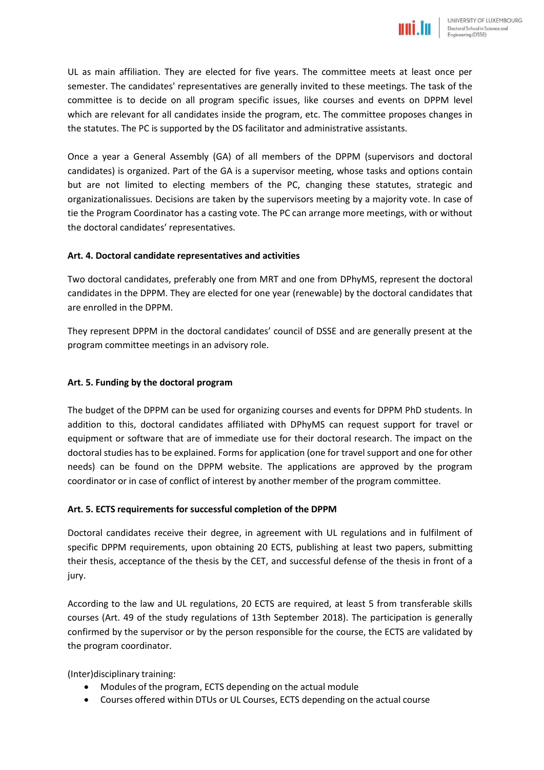UL as main affiliation. They are elected for five years. The committee meets at least once per semester. The candidates' representatives are generally invited to these meetings. The task of the committee is to decide on all program specific issues, like courses and events on DPPM level which are relevant for all candidates inside the program, etc. The committee proposes changes in the statutes. The PC is supported by the DS facilitator and administrative assistants.

Once a year a General Assembly (GA) of all members of the DPPM (supervisors and doctoral candidates) is organized. Part of the GA is a supervisor meeting, whose tasks and options contain but are not limited to electing members of the PC, changing these statutes, strategic and organizationalissues. Decisions are taken by the supervisors meeting by a majority vote. In case of tie the Program Coordinator has a casting vote. The PC can arrange more meetings, with or without the doctoral candidates' representatives.

# **Art. 4. Doctoral candidate representatives and activities**

Two doctoral candidates, preferably one from MRT and one from DPhyMS, represent the doctoral candidates in the DPPM. They are elected for one year (renewable) by the doctoral candidates that are enrolled in the DPPM.

They represent DPPM in the doctoral candidates' council of DSSE and are generally present at the program committee meetings in an advisory role.

## **Art. 5. Funding by the doctoral program**

The budget of the DPPM can be used for organizing courses and events for DPPM PhD students. In addition to this, doctoral candidates affiliated with DPhyMS can request support for travel or equipment or software that are of immediate use for their doctoral research. The impact on the doctoral studies has to be explained. Forms for application (one for travel support and one for other needs) can be found on the DPPM website. The applications are approved by the program coordinator or in case of conflict of interest by another member of the program committee.

#### **Art. 5. ECTS requirements for successful completion of the DPPM**

Doctoral candidates receive their degree, in agreement with UL regulations and in fulfilment of specific DPPM requirements, upon obtaining 20 ECTS, publishing at least two papers, submitting their thesis, acceptance of the thesis by the CET, and successful defense of the thesis in front of a jury.

According to the law and UL regulations, 20 ECTS are required, at least 5 from transferable skills courses (Art. 49 of the study regulations of 13th September 2018). The participation is generally confirmed by the supervisor or by the person responsible for the course, the ECTS are validated by the program coordinator.

(Inter)disciplinary training:

- Modules of the program, ECTS depending on the actual module
- Courses offered within DTUs or UL Courses, ECTS depending on the actual course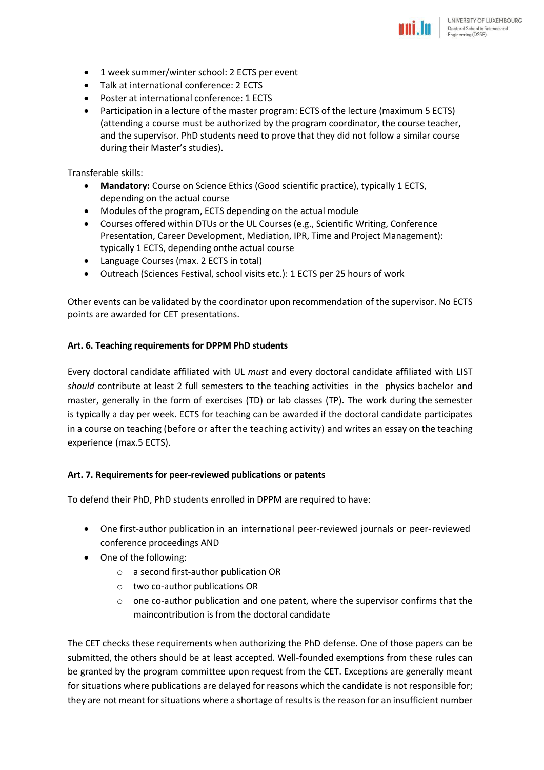- 1 week summer/winter school: 2 ECTS per event
- Talk at international conference: 2 ECTS
- Poster at international conference: 1 ECTS
- Participation in a lecture of the master program: ECTS of the lecture (maximum 5 ECTS) (attending a course must be authorized by the program coordinator, the course teacher, and the supervisor. PhD students need to prove that they did not follow a similar course during their Master's studies).

Transferable skills:

- **Mandatory:** Course on Science Ethics (Good scientific practice), typically 1 ECTS, depending on the actual course
- Modules of the program, ECTS depending on the actual module
- Courses offered within DTUs or the UL Courses (e.g., Scientific Writing, Conference Presentation, Career Development, Mediation, IPR, Time and Project Management): typically 1 ECTS, depending onthe actual course
- Language Courses (max. 2 ECTS in total)
- Outreach (Sciences Festival, school visits etc.): 1 ECTS per 25 hours of work

Other events can be validated by the coordinator upon recommendation of the supervisor. No ECTS points are awarded for CET presentations.

#### **Art. 6. Teaching requirements for DPPM PhD students**

Every doctoral candidate affiliated with UL *must* and every doctoral candidate affiliated with LIST *should* contribute at least 2 full semesters to the teaching activities in the physics bachelor and master, generally in the form of exercises (TD) or lab classes (TP). The work during the semester is typically a day per week. ECTS for teaching can be awarded if the doctoral candidate participates in a course on teaching (before or after the teaching activity) and writes an essay on the teaching experience (max.5 ECTS).

#### **Art. 7. Requirements for peer-reviewed publications or patents**

To defend their PhD, PhD students enrolled in DPPM are required to have:

- One first-author publication in an international peer-reviewed journals or peer-reviewed conference proceedings AND
- One of the following:
	- o a second first-author publication OR
	- o two co-author publications OR
	- $\circ$  one co-author publication and one patent, where the supervisor confirms that the maincontribution is from the doctoral candidate

The CET checks these requirements when authorizing the PhD defense. One of those papers can be submitted, the others should be at least accepted. Well-founded exemptions from these rules can be granted by the program committee upon request from the CET. Exceptions are generally meant for situations where publications are delayed for reasons which the candidate is not responsible for; they are not meant for situations where a shortage of resultsis the reason for an insufficient number